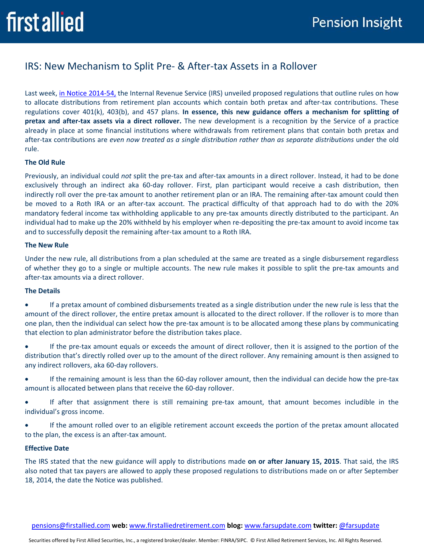# IRS: New Mechanism to Split Pre- & After-tax Assets in a Rollover

Last week, [in Notice 2014-54,](http://www.irs.gov/pub/irs-drop/n-14-54.pdf) the Internal Revenue Service (IRS) unveiled proposed regulations that outline rules on how to allocate distributions from retirement plan accounts which contain both pretax and after-tax contributions. These regulations cover 401(k), 403(b), and 457 plans. **In essence, this new guidance offers a mechanism for splitting of pretax and after-tax assets via a direct rollover.** The new development is a recognition by the Service of a practice already in place at some financial institutions where withdrawals from retirement plans that contain both pretax and after-tax contributions are *even now treated as a single distribution rather than as separate distributions* under the old rule.

## **The Old Rule**

Previously, an individual could *not* split the pre-tax and after-tax amounts in a direct rollover. Instead, it had to be done exclusively through an indirect aka 60-day rollover. First, plan participant would receive a cash distribution, then indirectly roll over the pre-tax amount to another retirement plan or an IRA. The remaining after-tax amount could then be moved to a Roth IRA or an after-tax account. The practical difficulty of that approach had to do with the 20% mandatory federal income tax withholding applicable to any pre-tax amounts directly distributed to the participant. An individual had to make up the 20% withheld by his employer when re-depositing the pre-tax amount to avoid income tax and to successfully deposit the remaining after-tax amount to a Roth IRA.

#### **The New Rule**

Under the new rule, all distributions from a plan scheduled at the same are treated as a single disbursement regardless of whether they go to a single or multiple accounts. The new rule makes it possible to split the pre-tax amounts and after-tax amounts via a direct rollover.

## **The Details**

- If a pretax amount of combined disbursements treated as a single distribution under the new rule is less that the amount of the direct rollover, the entire pretax amount is allocated to the direct rollover. If the rollover is to more than one plan, then the individual can select how the pre-tax amount is to be allocated among these plans by communicating that election to plan administrator before the distribution takes place.
- If the pre-tax amount equals or exceeds the amount of direct rollover, then it is assigned to the portion of the distribution that's directly rolled over up to the amount of the direct rollover. Any remaining amount is then assigned to any indirect rollovers, aka 60-day rollovers.
- If the remaining amount is less than the 60-day rollover amount, then the individual can decide how the pre-tax amount is allocated between plans that receive the 60-day rollover.
- If after that assignment there is still remaining pre-tax amount, that amount becomes includible in the individual's gross income.
- If the amount rolled over to an eligible retirement account exceeds the portion of the pretax amount allocated to the plan, the excess is an after-tax amount.

## **Effective Date**

The IRS stated that the new guidance will apply to distributions made **on or after January 15, 2015**. That said, the IRS also noted that tax payers are allowed to apply these proposed regulations to distributions made on or after September 18, 2014, the date the Notice was published.

[pensions@firstallied.com](mailto:pensions@firstallied.com) **web:** [www.firstalliedretirement.com](http://www.firstalliedretirement.com/) **blog:** [www.farsupdate.com](http://www.farsupdate.com/) **twitter:** [@farsupdate](http://www.twitter.com/farsupdate)